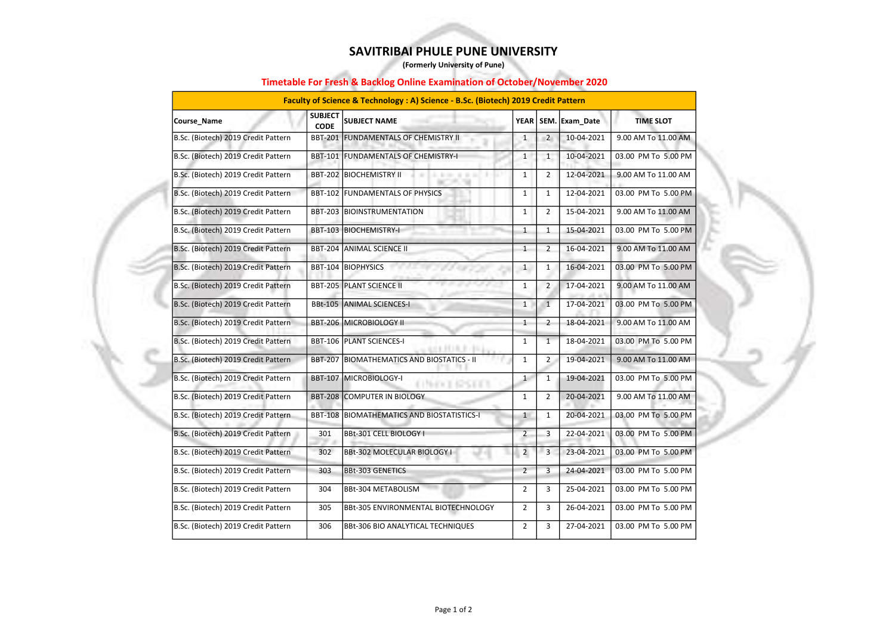| Course_Name                         | <b>SUBJECT</b><br><b>CODE</b> | <b>SUBJECT NAME</b>                                      | YEAR           |                | SEM. Exam_Date | <b>TIME SLOT</b>    |
|-------------------------------------|-------------------------------|----------------------------------------------------------|----------------|----------------|----------------|---------------------|
| B.Sc. (Biotech) 2019 Credit Pattern | <b>BBT-201</b>                | <b>FUNDAMENTALS OF CHEMISTRY II</b>                      | $\mathbf{1}$   | $\overline{2}$ | 10-04-2021     | 9.00 AM To 11.00 AM |
| B.Sc. (Biotech) 2019 Credit Pattern |                               | BBT-101 FUNDAMENTALS OF CHEMISTRY-I                      | $\mathbf{1}$   | $\mathbf{1}$   | 10-04-2021     | 03.00 PM To 5.00 PM |
| B.Sc. (Biotech) 2019 Credit Pattern |                               | <b>BBT-202 BIOCHEMISTRY II</b><br>an i<br><b>ALC: NO</b> | $\mathbf{1}$   | $\overline{2}$ | 12-04-2021     | 9.00 AM To 11.00 AM |
| B.Sc. (Biotech) 2019 Credit Pattern | <b>BBT-102</b>                | <b>FUNDAMENTALS OF PHYSICS</b>                           | 1              | $\mathbf{1}$   | 12-04-2021     | 03.00 PM To 5.00 PM |
| B.Sc. (Biotech) 2019 Credit Pattern | <b>BBT-203</b>                | BIOINSTRUMENTATION                                       | $\mathbf{1}$   | $\overline{2}$ | 15-04-2021     | 9.00 AM To 11.00 AM |
| B.Sc. (Biotech) 2019 Credit Pattern |                               | BBT-103 BIOCHEMISTRY-I                                   | $\mathbf{1}$   | $\mathbf{1}$   | 15-04-2021     | 03.00 PM To 5.00 PM |
| B.Sc. (Biotech) 2019 Credit Pattern |                               | BBT-204 ANIMAL SCIENCE II                                | $\mathbf{1}$   | $\overline{2}$ | 16-04-2021     | 9.00 AM To 11.00 AM |
| B.Sc. (Biotech) 2019 Credit Pattern | <b>BBT-104</b>                | <b>BIOPHYSICS</b>                                        | $\mathbf{1}$   | $\mathbf{1}$   | 16-04-2021     | 03.00 PM To 5.00 PM |
| B.Sc. (Biotech) 2019 Credit Pattern |                               | <b>BBT-205 PLANT SCIENCE II</b>                          | $\mathbf{1}$   | $\overline{2}$ | 17-04-2021     | 9.00 AM To 11.00 AM |
| B.Sc. (Biotech) 2019 Credit Pattern | <b>BBt-105</b>                | <b>ANIMAL SCIENCES-I</b>                                 | $\mathbf{1}$   | $\mathbf{1}$   | 17-04-2021     | 03.00 PM To 5.00 PM |
| B.Sc. (Biotech) 2019 Credit Pattern | <b>BBT-206</b>                | MICROBIOLOGY II                                          | $\mathbf{1}$   | $\overline{2}$ | 18-04-2021     | 9.00 AM To 11.00 AM |
| B.Sc. (Biotech) 2019 Credit Pattern |                               | BBT-106 PLANT SCIENCES-I                                 | $\mathbf{1}$   | $\mathbf{1}$   | 18-04-2021     | 03.00 PM To 5.00 PM |
| B.Sc. (Biotech) 2019 Credit Pattern | <b>BBT-207</b>                | <b>BIOMATHEMATICS AND BIOSTATICS - II</b>                | 1              | $\overline{2}$ | 19-04-2021     | 9.00 AM To 11.00 AM |
| B.Sc. (Biotech) 2019 Credit Pattern | <b>BBT-107</b>                | MICROBIOLOGY-I                                           | 1              | $\mathbf{1}$   | 19-04-2021     | 03.00 PM To 5.00 PM |
| B.Sc. (Biotech) 2019 Credit Pattern | <b>BBT-208</b>                | COMPUTER IN BIOLOGY                                      | $\mathbf{1}$   | $2^{\circ}$    | 20-04-2021     | 9.00 AM To 11.00 AM |
| B.Sc. (Biotech) 2019 Credit Pattern | <b>BBT-108</b>                | <b>BIOMATHEMATICS AND BIOSTATISTICS-I</b>                | $\mathbf{1}$   | $\mathbf{1}$   | 20-04-2021     | 03.00 PM To 5.00 PM |
| B.Sc. (Biotech) 2019 Credit Pattern | 301                           | BBt-301 CELL BIOLOGY I                                   | $\overline{2}$ | 3              | 22-04-2021     | 03.00 PM To 5.00 PM |
| B.Sc. (Biotech) 2019 Credit Pattern | 302                           | BBt-302 MOLECULAR BIOLOGY I                              | $\overline{2}$ | $\overline{3}$ | 23-04-2021     | 03.00 PM To 5.00 PM |
| B.Sc. (Biotech) 2019 Credit Pattern | 303                           | <b>BBt-303 GENETICS</b>                                  | 2              | $\overline{3}$ | 24-04-2021     | 03.00 PM To 5.00 PM |
| B.Sc. (Biotech) 2019 Credit Pattern | 304                           | BBt-304 METABOLISM                                       | $\overline{2}$ | 3              | 25-04-2021     | 03.00 PM To 5.00 PM |
| B.Sc. (Biotech) 2019 Credit Pattern | 305                           | BBt-305 ENVIRONMENTAL BIOTECHNOLOGY                      | $\overline{2}$ | 3              | 26-04-2021     | 03.00 PM To 5.00 PM |
| B.Sc. (Biotech) 2019 Credit Pattern | 306                           | BBt-306 BIO ANALYTICAL TECHNIQUES                        | $\overline{2}$ | 3              | 27-04-2021     | 03.00 PM To 5.00 PM |

## Timetable For Fresh & Backlog Online Examination of October/November 2020

| Faculty of Science & Technology : A) Science - B.Sc. (Biotech) 2019 Credit Pattern |
|------------------------------------------------------------------------------------|
|------------------------------------------------------------------------------------|



## SAVITRIBAI PHULE PUNE UNIVERSITY

(Formerly University of Pune)